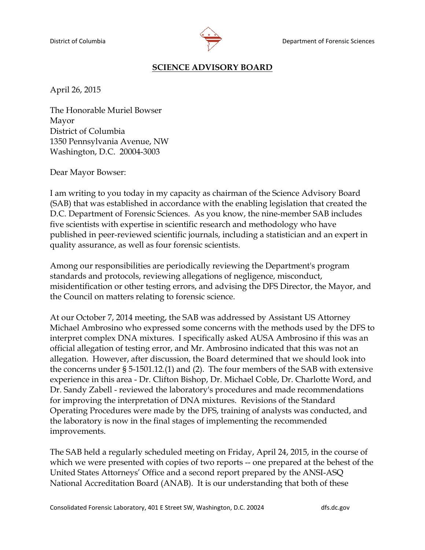

## **SCIENCE ADVISORY BOARD**

April 26, 2015

The Honorable Muriel Bowser Mayor District of Columbia 1350 Pennsylvania Avenue, NW Washington, D.C. 20004-3003

Dear Mayor Bowser:

I am writing to you today in my capacity as chairman of the Science Advisory Board (SAB) that was established in accordance with the enabling legislation that created the D.C. Department of Forensic Sciences. As you know, the nine-member SAB includes five scientists with expertise in scientific research and methodology who have published in peer-reviewed scientific journals, including a statistician and an expert in quality assurance, as well as four forensic scientists.

Among our responsibilities are periodically reviewing the Department's program standards and protocols, reviewing allegations of negligence, misconduct, misidentification or other testing errors, and advising the DFS Director, the Mayor, and the Council on matters relating to forensic science.

At our October 7, 2014 meeting, the SAB was addressed by Assistant US Attorney Michael Ambrosino who expressed some concerns with the methods used by the DFS to interpret complex DNA mixtures. I specifically asked AUSA Ambrosino if this was an official allegation of testing error, and Mr. Ambrosino indicated that this was not an allegation. However, after discussion, the Board determined that we should look into the concerns under § 5-1501.12.(1) and (2).The four members of the SAB with extensive experience in this area - Dr. Clifton Bishop, Dr. Michael Coble, Dr. Charlotte Word, and Dr. Sandy Zabell - reviewed the laboratory's procedures and made recommendations for improving the interpretation of DNA mixtures. Revisions of the Standard Operating Procedures were made by the DFS, training of analysts was conducted, and the laboratory is now in the final stages of implementing the recommended improvements.

The SAB held a regularly scheduled meeting on Friday, April 24, 2015, in the course of which we were presented with copies of two reports -- one prepared at the behest of the United States Attorneys' Office and a second report prepared by the ANSI-ASQ National Accreditation Board (ANAB). It is our understanding that both of these